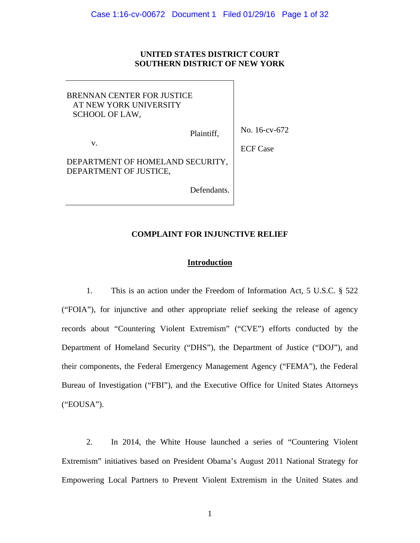# **UNITED STATES DISTRICT COURT SOUTHERN DISTRICT OF NEW YORK**

No. 16-cv-672 ECF Case BRENNAN CENTER FOR JUSTICE AT NEW YORK UNIVERSITY SCHOOL OF LAW, Plaintiff, v. DEPARTMENT OF HOMELAND SECURITY, DEPARTMENT OF JUSTICE, Defendants.

### **COMPLAINT FOR INJUNCTIVE RELIEF**

### **Introduction**

 1. This is an action under the Freedom of Information Act, 5 U.S.C. § 522 ("FOIA"), for injunctive and other appropriate relief seeking the release of agency records about "Countering Violent Extremism" ("CVE") efforts conducted by the Department of Homeland Security ("DHS"), the Department of Justice ("DOJ"), and their components, the Federal Emergency Management Agency ("FEMA"), the Federal Bureau of Investigation ("FBI"), and the Executive Office for United States Attorneys ("EOUSA").

2. In 2014, the White House launched a series of "Countering Violent Extremism" initiatives based on President Obama's August 2011 National Strategy for Empowering Local Partners to Prevent Violent Extremism in the United States and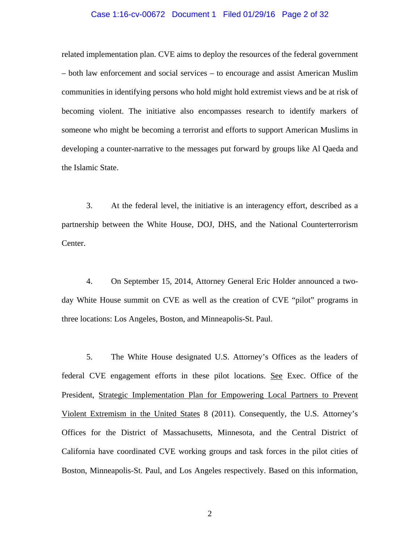#### Case 1:16-cv-00672 Document 1 Filed 01/29/16 Page 2 of 32

related implementation plan. CVE aims to deploy the resources of the federal government – both law enforcement and social services – to encourage and assist American Muslim communities in identifying persons who hold might hold extremist views and be at risk of becoming violent. The initiative also encompasses research to identify markers of someone who might be becoming a terrorist and efforts to support American Muslims in developing a counter-narrative to the messages put forward by groups like Al Qaeda and the Islamic State.

3. At the federal level, the initiative is an interagency effort, described as a partnership between the White House, DOJ, DHS, and the National Counterterrorism Center.

4. On September 15, 2014, Attorney General Eric Holder announced a twoday White House summit on CVE as well as the creation of CVE "pilot" programs in three locations: Los Angeles, Boston, and Minneapolis-St. Paul.

5. The White House designated U.S. Attorney's Offices as the leaders of federal CVE engagement efforts in these pilot locations. See Exec. Office of the President, Strategic Implementation Plan for Empowering Local Partners to Prevent Violent Extremism in the United States 8 (2011). Consequently, the U.S. Attorney's Offices for the District of Massachusetts, Minnesota, and the Central District of California have coordinated CVE working groups and task forces in the pilot cities of Boston, Minneapolis-St. Paul, and Los Angeles respectively. Based on this information,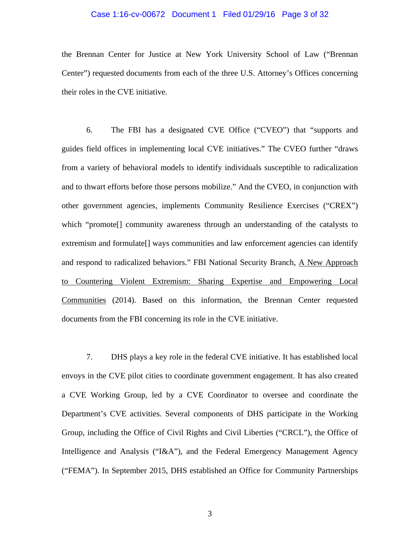#### Case 1:16-cv-00672 Document 1 Filed 01/29/16 Page 3 of 32

the Brennan Center for Justice at New York University School of Law ("Brennan Center") requested documents from each of the three U.S. Attorney's Offices concerning their roles in the CVE initiative.

 6. The FBI has a designated CVE Office ("CVEO") that "supports and guides field offices in implementing local CVE initiatives." The CVEO further "draws from a variety of behavioral models to identify individuals susceptible to radicalization and to thwart efforts before those persons mobilize." And the CVEO, in conjunction with other government agencies, implements Community Resilience Exercises ("CREX") which "promote[] community awareness through an understanding of the catalysts to extremism and formulate[] ways communities and law enforcement agencies can identify and respond to radicalized behaviors." FBI National Security Branch, A New Approach to Countering Violent Extremism: Sharing Expertise and Empowering Local Communities (2014). Based on this information, the Brennan Center requested documents from the FBI concerning its role in the CVE initiative.

7. DHS plays a key role in the federal CVE initiative. It has established local envoys in the CVE pilot cities to coordinate government engagement. It has also created a CVE Working Group, led by a CVE Coordinator to oversee and coordinate the Department's CVE activities. Several components of DHS participate in the Working Group, including the Office of Civil Rights and Civil Liberties ("CRCL"), the Office of Intelligence and Analysis ("I&A"), and the Federal Emergency Management Agency ("FEMA"). In September 2015, DHS established an Office for Community Partnerships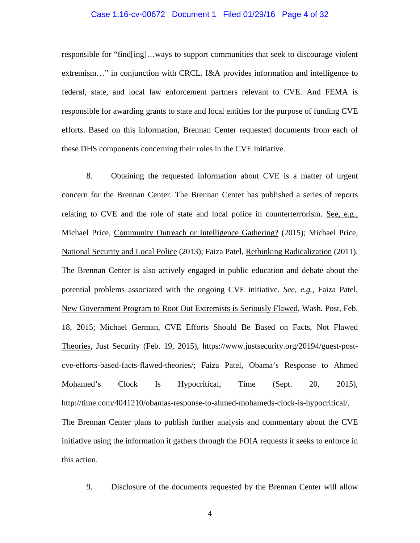#### Case 1:16-cv-00672 Document 1 Filed 01/29/16 Page 4 of 32

responsible for "find[ing]…ways to support communities that seek to discourage violent extremism…" in conjunction with CRCL. I&A provides information and intelligence to federal, state, and local law enforcement partners relevant to CVE. And FEMA is responsible for awarding grants to state and local entities for the purpose of funding CVE efforts. Based on this information, Brennan Center requested documents from each of these DHS components concerning their roles in the CVE initiative.

8. Obtaining the requested information about CVE is a matter of urgent concern for the Brennan Center. The Brennan Center has published a series of reports relating to CVE and the role of state and local police in counterterrorism. See, e.g., Michael Price, Community Outreach or Intelligence Gathering? (2015); Michael Price, National Security and Local Police (2013); Faiza Patel, Rethinking Radicalization (2011). The Brennan Center is also actively engaged in public education and debate about the potential problems associated with the ongoing CVE initiative. *See, e.g.,* Faiza Patel, New Government Program to Root Out Extremists is Seriously Flawed, Wash. Post, Feb. 18, 2015; Michael German, CVE Efforts Should Be Based on Facts, Not Flawed Theories, Just Security (Feb. 19, 2015), https://www.justsecurity.org/20194/guest-postcve-efforts-based-facts-flawed-theories/; Faiza Patel, Obama's Response to Ahmed Mohamed's Clock Is Hypocritical, Time (Sept. 20, 2015), http://time.com/4041210/obamas-response-to-ahmed-mohameds-clock-is-hypocritical/. The Brennan Center plans to publish further analysis and commentary about the CVE initiative using the information it gathers through the FOIA requests it seeks to enforce in this action.

9. Disclosure of the documents requested by the Brennan Center will allow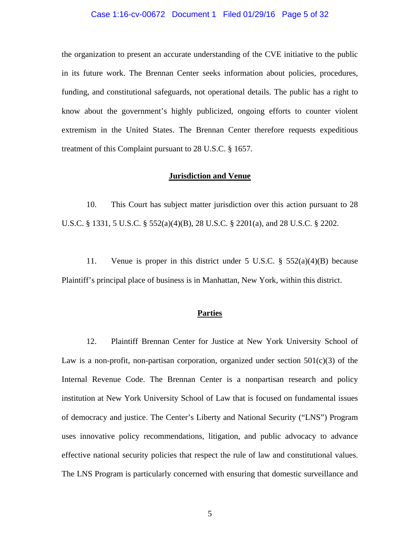#### Case 1:16-cv-00672 Document 1 Filed 01/29/16 Page 5 of 32

the organization to present an accurate understanding of the CVE initiative to the public in its future work. The Brennan Center seeks information about policies, procedures, funding, and constitutional safeguards, not operational details. The public has a right to know about the government's highly publicized, ongoing efforts to counter violent extremism in the United States. The Brennan Center therefore requests expeditious treatment of this Complaint pursuant to 28 U.S.C. § 1657.

#### **Jurisdiction and Venue**

 10. This Court has subject matter jurisdiction over this action pursuant to 28 U.S.C. § 1331, 5 U.S.C. § 552(a)(4)(B), 28 U.S.C. § 2201(a), and 28 U.S.C. § 2202.

11. Venue is proper in this district under 5 U.S.C. § 552(a)(4)(B) because Plaintiff's principal place of business is in Manhattan, New York, within this district.

#### **Parties**

 12. Plaintiff Brennan Center for Justice at New York University School of Law is a non-profit, non-partisan corporation, organized under section  $501(c)(3)$  of the Internal Revenue Code. The Brennan Center is a nonpartisan research and policy institution at New York University School of Law that is focused on fundamental issues of democracy and justice. The Center's Liberty and National Security ("LNS") Program uses innovative policy recommendations, litigation, and public advocacy to advance effective national security policies that respect the rule of law and constitutional values. The LNS Program is particularly concerned with ensuring that domestic surveillance and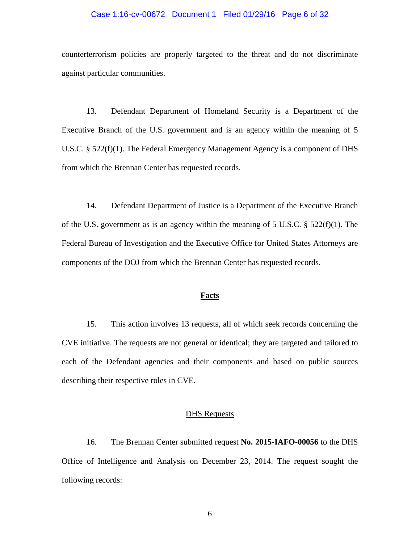#### Case 1:16-cv-00672 Document 1 Filed 01/29/16 Page 6 of 32

counterterrorism policies are properly targeted to the threat and do not discriminate against particular communities.

 13. Defendant Department of Homeland Security is a Department of the Executive Branch of the U.S. government and is an agency within the meaning of 5 U.S.C. § 522(f)(1). The Federal Emergency Management Agency is a component of DHS from which the Brennan Center has requested records.

 14. Defendant Department of Justice is a Department of the Executive Branch of the U.S. government as is an agency within the meaning of 5 U.S.C. § 522(f)(1). The Federal Bureau of Investigation and the Executive Office for United States Attorneys are components of the DOJ from which the Brennan Center has requested records.

## **Facts**

15. This action involves 13 requests, all of which seek records concerning the CVE initiative. The requests are not general or identical; they are targeted and tailored to each of the Defendant agencies and their components and based on public sources describing their respective roles in CVE.

### **DHS** Requests

16. The Brennan Center submitted request **No. 2015-IAFO-00056** to the DHS Office of Intelligence and Analysis on December 23, 2014. The request sought the following records: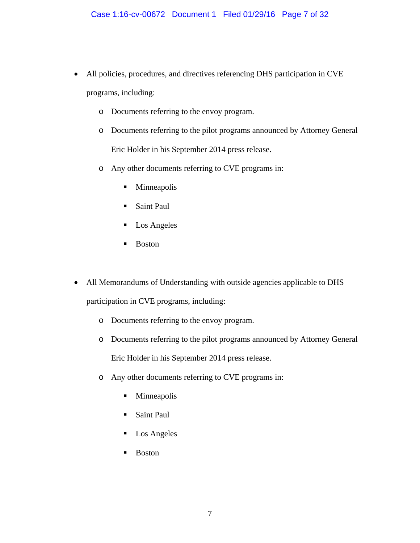- All policies, procedures, and directives referencing DHS participation in CVE programs, including:
	- o Documents referring to the envoy program.
	- o Documents referring to the pilot programs announced by Attorney General Eric Holder in his September 2014 press release.
	- o Any other documents referring to CVE programs in:
		- **Minneapolis**
		- **Saint Paul**
		- **Los Angeles**
		- **Boston**
- All Memorandums of Understanding with outside agencies applicable to DHS participation in CVE programs, including:
	- o Documents referring to the envoy program.
	- o Documents referring to the pilot programs announced by Attorney General Eric Holder in his September 2014 press release.
	- o Any other documents referring to CVE programs in:
		- **Minneapolis**
		- **Saint Paul**
		- **Los Angeles**
		- **Boston**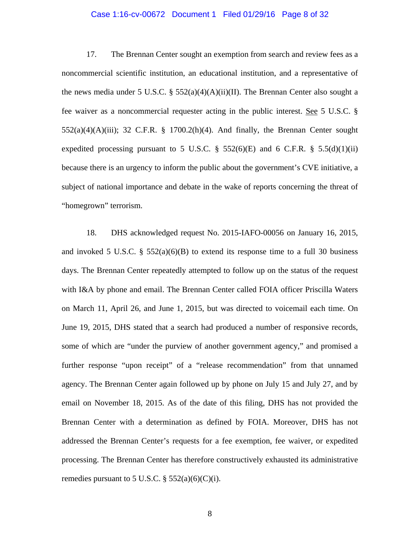#### Case 1:16-cv-00672 Document 1 Filed 01/29/16 Page 8 of 32

17. The Brennan Center sought an exemption from search and review fees as a noncommercial scientific institution, an educational institution, and a representative of the news media under 5 U.S.C. §  $552(a)(4)(A)(ii)(II)$ . The Brennan Center also sought a fee waiver as a noncommercial requester acting in the public interest. See 5 U.S.C. §  $552(a)(4)(A)(iii)$ ; 32 C.F.R. § 1700.2(h)(4). And finally, the Brennan Center sought expedited processing pursuant to 5 U.S.C.  $\S$  552(6)(E) and 6 C.F.R.  $\S$  5.5(d)(1)(ii) because there is an urgency to inform the public about the government's CVE initiative, a subject of national importance and debate in the wake of reports concerning the threat of "homegrown" terrorism.

18. DHS acknowledged request No. 2015-IAFO-00056 on January 16, 2015, and invoked 5 U.S.C. §  $552(a)(6)(B)$  to extend its response time to a full 30 business days. The Brennan Center repeatedly attempted to follow up on the status of the request with I&A by phone and email. The Brennan Center called FOIA officer Priscilla Waters on March 11, April 26, and June 1, 2015, but was directed to voicemail each time. On June 19, 2015, DHS stated that a search had produced a number of responsive records, some of which are "under the purview of another government agency," and promised a further response "upon receipt" of a "release recommendation" from that unnamed agency. The Brennan Center again followed up by phone on July 15 and July 27, and by email on November 18, 2015. As of the date of this filing, DHS has not provided the Brennan Center with a determination as defined by FOIA. Moreover, DHS has not addressed the Brennan Center's requests for a fee exemption, fee waiver, or expedited processing. The Brennan Center has therefore constructively exhausted its administrative remedies pursuant to 5 U.S.C.  $\S$  552(a)(6)(C)(i).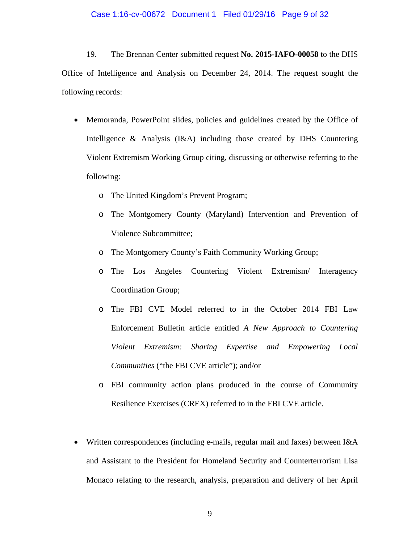#### Case 1:16-cv-00672 Document 1 Filed 01/29/16 Page 9 of 32

19. The Brennan Center submitted request **No. 2015-IAFO-00058** to the DHS Office of Intelligence and Analysis on December 24, 2014. The request sought the following records:

- Memoranda, PowerPoint slides, policies and guidelines created by the Office of Intelligence & Analysis (I&A) including those created by DHS Countering Violent Extremism Working Group citing, discussing or otherwise referring to the following:
	- o The United Kingdom's Prevent Program;
	- o The Montgomery County (Maryland) Intervention and Prevention of Violence Subcommittee;
	- o The Montgomery County's Faith Community Working Group;
	- o The Los Angeles Countering Violent Extremism/ Interagency Coordination Group;
	- o The FBI CVE Model referred to in the October 2014 FBI Law Enforcement Bulletin article entitled *A New Approach to Countering Violent Extremism: Sharing Expertise and Empowering Local Communities* ("the FBI CVE article"); and/or
	- o FBI community action plans produced in the course of Community Resilience Exercises (CREX) referred to in the FBI CVE article.
- Written correspondences (including e-mails, regular mail and faxes) between I&A and Assistant to the President for Homeland Security and Counterterrorism Lisa Monaco relating to the research, analysis, preparation and delivery of her April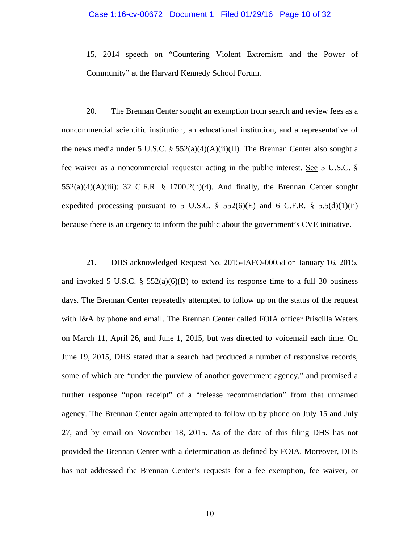# Case 1:16-cv-00672 Document 1 Filed 01/29/16 Page 10 of 32

15, 2014 speech on "Countering Violent Extremism and the Power of Community" at the Harvard Kennedy School Forum.

 20. The Brennan Center sought an exemption from search and review fees as a noncommercial scientific institution, an educational institution, and a representative of the news media under 5 U.S.C. §  $552(a)(4)(A)(ii)(II)$ . The Brennan Center also sought a fee waiver as a noncommercial requester acting in the public interest. See 5 U.S.C. §  $552(a)(4)(A)(iii)$ ; 32 C.F.R. § 1700.2(h)(4). And finally, the Brennan Center sought expedited processing pursuant to 5 U.S.C.  $\S$  552(6)(E) and 6 C.F.R.  $\S$  5.5(d)(1)(ii) because there is an urgency to inform the public about the government's CVE initiative.

21. DHS acknowledged Request No. 2015-IAFO-00058 on January 16, 2015, and invoked 5 U.S.C. §  $552(a)(6)(B)$  to extend its response time to a full 30 business days. The Brennan Center repeatedly attempted to follow up on the status of the request with I&A by phone and email. The Brennan Center called FOIA officer Priscilla Waters on March 11, April 26, and June 1, 2015, but was directed to voicemail each time. On June 19, 2015, DHS stated that a search had produced a number of responsive records, some of which are "under the purview of another government agency," and promised a further response "upon receipt" of a "release recommendation" from that unnamed agency. The Brennan Center again attempted to follow up by phone on July 15 and July 27, and by email on November 18, 2015. As of the date of this filing DHS has not provided the Brennan Center with a determination as defined by FOIA. Moreover, DHS has not addressed the Brennan Center's requests for a fee exemption, fee waiver, or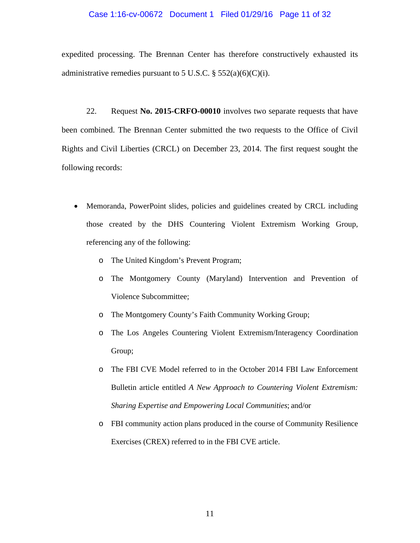#### Case 1:16-cv-00672 Document 1 Filed 01/29/16 Page 11 of 32

expedited processing. The Brennan Center has therefore constructively exhausted its administrative remedies pursuant to 5 U.S.C.  $\S$  552(a)(6)(C)(i).

22. Request **No. 2015-CRFO-00010** involves two separate requests that have been combined. The Brennan Center submitted the two requests to the Office of Civil Rights and Civil Liberties (CRCL) on December 23, 2014. The first request sought the following records:

- Memoranda, PowerPoint slides, policies and guidelines created by CRCL including those created by the DHS Countering Violent Extremism Working Group, referencing any of the following:
	- o The United Kingdom's Prevent Program;
	- o The Montgomery County (Maryland) Intervention and Prevention of Violence Subcommittee;
	- o The Montgomery County's Faith Community Working Group;
	- o The Los Angeles Countering Violent Extremism/Interagency Coordination Group;
	- o The FBI CVE Model referred to in the October 2014 FBI Law Enforcement Bulletin article entitled *A New Approach to Countering Violent Extremism: Sharing Expertise and Empowering Local Communities*; and/or
	- o FBI community action plans produced in the course of Community Resilience Exercises (CREX) referred to in the FBI CVE article.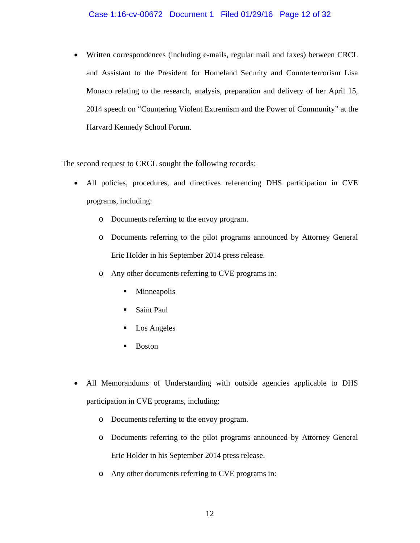### Case 1:16-cv-00672 Document 1 Filed 01/29/16 Page 12 of 32

 Written correspondences (including e-mails, regular mail and faxes) between CRCL and Assistant to the President for Homeland Security and Counterterrorism Lisa Monaco relating to the research, analysis, preparation and delivery of her April 15, 2014 speech on "Countering Violent Extremism and the Power of Community" at the Harvard Kennedy School Forum.

The second request to CRCL sought the following records:

- All policies, procedures, and directives referencing DHS participation in CVE programs, including:
	- o Documents referring to the envoy program.
	- o Documents referring to the pilot programs announced by Attorney General Eric Holder in his September 2014 press release.
	- o Any other documents referring to CVE programs in:
		- Minneapolis
		- **Saint Paul**
		- Los Angeles
		- Boston
- All Memorandums of Understanding with outside agencies applicable to DHS participation in CVE programs, including:
	- o Documents referring to the envoy program.
	- o Documents referring to the pilot programs announced by Attorney General Eric Holder in his September 2014 press release.
	- o Any other documents referring to CVE programs in: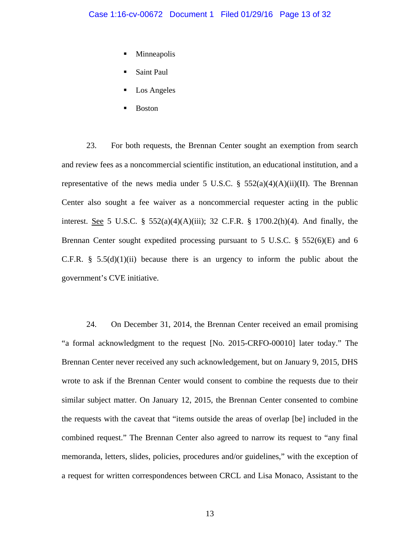- Minneapolis
- Saint Paul
- Los Angeles
- Boston

23. For both requests, the Brennan Center sought an exemption from search and review fees as a noncommercial scientific institution, an educational institution, and a representative of the news media under 5 U.S.C.  $\S$  552(a)(4)(A)(ii)(II). The Brennan Center also sought a fee waiver as a noncommercial requester acting in the public interest. <u>See</u> 5 U.S.C. §  $552(a)(4)(A)(iii)$ ; 32 C.F.R. § 1700.2(h)(4). And finally, the Brennan Center sought expedited processing pursuant to 5 U.S.C.  $\S$  552(6)(E) and 6 C.F.R.  $§$  5.5(d)(1)(ii) because there is an urgency to inform the public about the government's CVE initiative.

24. On December 31, 2014, the Brennan Center received an email promising "a formal acknowledgment to the request [No. 2015-CRFO-00010] later today." The Brennan Center never received any such acknowledgement, but on January 9, 2015, DHS wrote to ask if the Brennan Center would consent to combine the requests due to their similar subject matter. On January 12, 2015, the Brennan Center consented to combine the requests with the caveat that "items outside the areas of overlap [be] included in the combined request." The Brennan Center also agreed to narrow its request to "any final memoranda, letters, slides, policies, procedures and/or guidelines," with the exception of a request for written correspondences between CRCL and Lisa Monaco, Assistant to the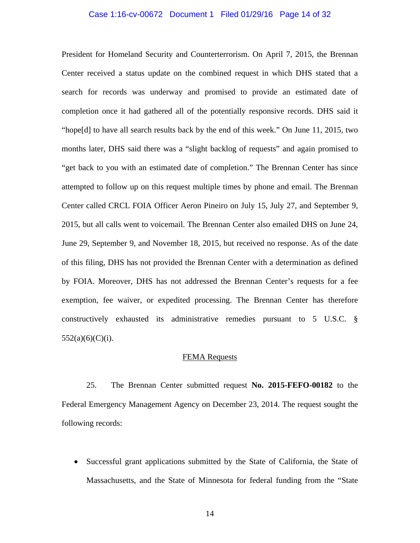#### Case 1:16-cv-00672 Document 1 Filed 01/29/16 Page 14 of 32

President for Homeland Security and Counterterrorism. On April 7, 2015, the Brennan Center received a status update on the combined request in which DHS stated that a search for records was underway and promised to provide an estimated date of completion once it had gathered all of the potentially responsive records. DHS said it "hope[d] to have all search results back by the end of this week." On June 11, 2015, two months later, DHS said there was a "slight backlog of requests" and again promised to "get back to you with an estimated date of completion." The Brennan Center has since attempted to follow up on this request multiple times by phone and email. The Brennan Center called CRCL FOIA Officer Aeron Pineiro on July 15, July 27, and September 9, 2015, but all calls went to voicemail. The Brennan Center also emailed DHS on June 24, June 29, September 9, and November 18, 2015, but received no response. As of the date of this filing, DHS has not provided the Brennan Center with a determination as defined by FOIA. Moreover, DHS has not addressed the Brennan Center's requests for a fee exemption, fee waiver, or expedited processing. The Brennan Center has therefore constructively exhausted its administrative remedies pursuant to 5 U.S.C. §  $552(a)(6)(C)(i)$ .

#### FEMA Requests

25. The Brennan Center submitted request **No. 2015-FEFO-00182** to the Federal Emergency Management Agency on December 23, 2014. The request sought the following records:

 Successful grant applications submitted by the State of California, the State of Massachusetts, and the State of Minnesota for federal funding from the "State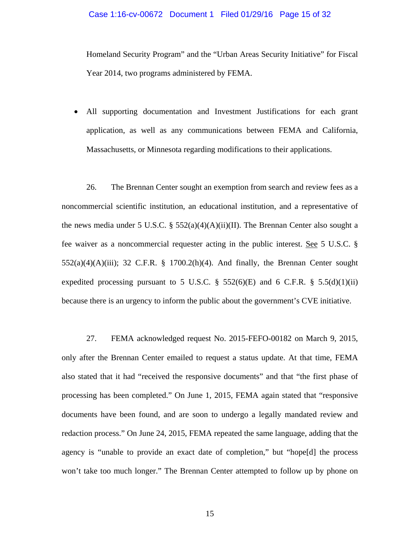#### Case 1:16-cv-00672 Document 1 Filed 01/29/16 Page 15 of 32

Homeland Security Program" and the "Urban Areas Security Initiative" for Fiscal Year 2014, two programs administered by FEMA.

 All supporting documentation and Investment Justifications for each grant application, as well as any communications between FEMA and California, Massachusetts, or Minnesota regarding modifications to their applications.

26. The Brennan Center sought an exemption from search and review fees as a noncommercial scientific institution, an educational institution, and a representative of the news media under 5 U.S.C. §  $552(a)(4)(A)(ii)(II)$ . The Brennan Center also sought a fee waiver as a noncommercial requester acting in the public interest. See 5 U.S.C. §  $552(a)(4)(A)(iii)$ ; 32 C.F.R. § 1700.2(h)(4). And finally, the Brennan Center sought expedited processing pursuant to 5 U.S.C.  $\S$  552(6)(E) and 6 C.F.R.  $\S$  5.5(d)(1)(ii) because there is an urgency to inform the public about the government's CVE initiative.

27. FEMA acknowledged request No. 2015-FEFO-00182 on March 9, 2015, only after the Brennan Center emailed to request a status update. At that time, FEMA also stated that it had "received the responsive documents" and that "the first phase of processing has been completed." On June 1, 2015, FEMA again stated that "responsive documents have been found, and are soon to undergo a legally mandated review and redaction process." On June 24, 2015, FEMA repeated the same language, adding that the agency is "unable to provide an exact date of completion," but "hope[d] the process won't take too much longer." The Brennan Center attempted to follow up by phone on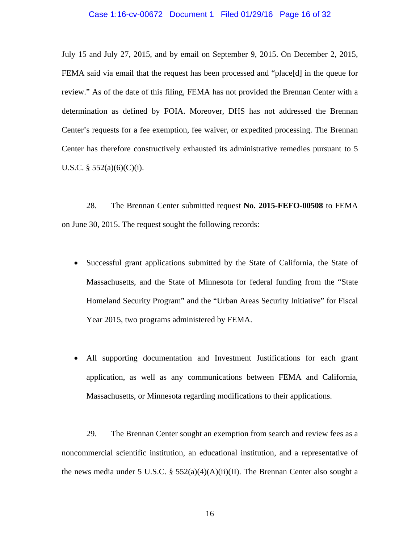#### Case 1:16-cv-00672 Document 1 Filed 01/29/16 Page 16 of 32

July 15 and July 27, 2015, and by email on September 9, 2015. On December 2, 2015, FEMA said via email that the request has been processed and "place[d] in the queue for review." As of the date of this filing, FEMA has not provided the Brennan Center with a determination as defined by FOIA. Moreover, DHS has not addressed the Brennan Center's requests for a fee exemption, fee waiver, or expedited processing. The Brennan Center has therefore constructively exhausted its administrative remedies pursuant to 5 U.S.C.  $\S$  552(a)(6)(C)(i).

28. The Brennan Center submitted request **No. 2015-FEFO-00508** to FEMA on June 30, 2015. The request sought the following records:

- Successful grant applications submitted by the State of California, the State of Massachusetts, and the State of Minnesota for federal funding from the "State Homeland Security Program" and the "Urban Areas Security Initiative" for Fiscal Year 2015, two programs administered by FEMA.
- All supporting documentation and Investment Justifications for each grant application, as well as any communications between FEMA and California, Massachusetts, or Minnesota regarding modifications to their applications.

29. The Brennan Center sought an exemption from search and review fees as a noncommercial scientific institution, an educational institution, and a representative of the news media under 5 U.S.C. §  $552(a)(4)(A)(ii)(II)$ . The Brennan Center also sought a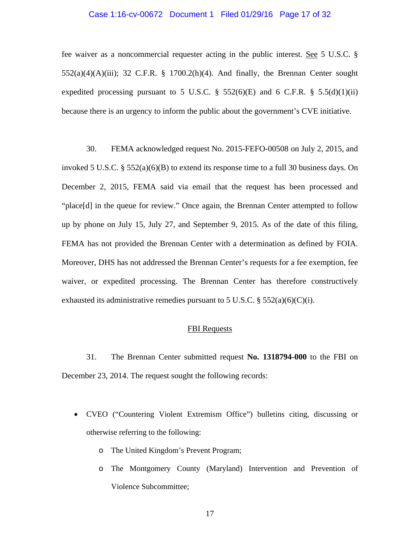# Case 1:16-cv-00672 Document 1 Filed 01/29/16 Page 17 of 32

fee waiver as a noncommercial requester acting in the public interest. See 5 U.S.C. §  $552(a)(4)(A)(iii)$ ; 32 C.F.R. § 1700.2(h)(4). And finally, the Brennan Center sought expedited processing pursuant to 5 U.S.C.  $\S$  552(6)(E) and 6 C.F.R.  $\S$  5.5(d)(1)(ii) because there is an urgency to inform the public about the government's CVE initiative.

30. FEMA acknowledged request No. 2015-FEFO-00508 on July 2, 2015, and invoked 5 U.S.C. §  $552(a)(6)(B)$  to extend its response time to a full 30 business days. On December 2, 2015, FEMA said via email that the request has been processed and "place[d] in the queue for review." Once again, the Brennan Center attempted to follow up by phone on July 15, July 27, and September 9, 2015. As of the date of this filing, FEMA has not provided the Brennan Center with a determination as defined by FOIA. Moreover, DHS has not addressed the Brennan Center's requests for a fee exemption, fee waiver, or expedited processing. The Brennan Center has therefore constructively exhausted its administrative remedies pursuant to 5 U.S.C.  $\S 552(a)(6)(C)(i)$ .

### FBI Requests

31. The Brennan Center submitted request **No. 1318794-000** to the FBI on December 23, 2014. The request sought the following records:

- CVEO ("Countering Violent Extremism Office") bulletins citing, discussing or otherwise referring to the following:
	- o The United Kingdom's Prevent Program;
	- o The Montgomery County (Maryland) Intervention and Prevention of Violence Subcommittee;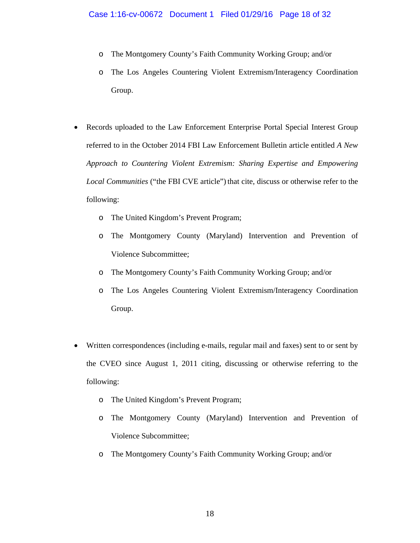- o The Montgomery County's Faith Community Working Group; and/or
- o The Los Angeles Countering Violent Extremism/Interagency Coordination Group.
- Records uploaded to the Law Enforcement Enterprise Portal Special Interest Group referred to in the October 2014 FBI Law Enforcement Bulletin article entitled *A New Approach to Countering Violent Extremism: Sharing Expertise and Empowering Local Communities* ("the FBI CVE article") that cite, discuss or otherwise refer to the following:
	- o The United Kingdom's Prevent Program;
	- o The Montgomery County (Maryland) Intervention and Prevention of Violence Subcommittee;
	- o The Montgomery County's Faith Community Working Group; and/or
	- o The Los Angeles Countering Violent Extremism/Interagency Coordination Group.
- Written correspondences (including e-mails, regular mail and faxes) sent to or sent by the CVEO since August 1, 2011 citing, discussing or otherwise referring to the following:
	- o The United Kingdom's Prevent Program;
	- o The Montgomery County (Maryland) Intervention and Prevention of Violence Subcommittee;
	- o The Montgomery County's Faith Community Working Group; and/or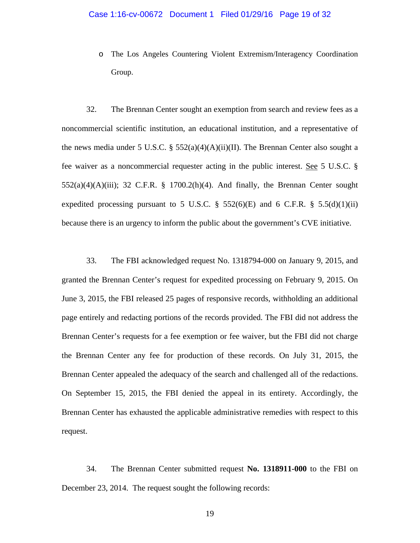o The Los Angeles Countering Violent Extremism/Interagency Coordination Group.

32. The Brennan Center sought an exemption from search and review fees as a noncommercial scientific institution, an educational institution, and a representative of the news media under 5 U.S.C. §  $552(a)(4)(A)(ii)(II)$ . The Brennan Center also sought a fee waiver as a noncommercial requester acting in the public interest. See 5 U.S.C. §  $552(a)(4)(A)(iii)$ ; 32 C.F.R. § 1700.2(h)(4). And finally, the Brennan Center sought expedited processing pursuant to 5 U.S.C. § 552(6)(E) and 6 C.F.R. § 5.5(d)(1)(ii) because there is an urgency to inform the public about the government's CVE initiative.

33. The FBI acknowledged request No. 1318794-000 on January 9, 2015, and granted the Brennan Center's request for expedited processing on February 9, 2015. On June 3, 2015, the FBI released 25 pages of responsive records, withholding an additional page entirely and redacting portions of the records provided. The FBI did not address the Brennan Center's requests for a fee exemption or fee waiver, but the FBI did not charge the Brennan Center any fee for production of these records. On July 31, 2015, the Brennan Center appealed the adequacy of the search and challenged all of the redactions. On September 15, 2015, the FBI denied the appeal in its entirety. Accordingly, the Brennan Center has exhausted the applicable administrative remedies with respect to this request.

34. The Brennan Center submitted request **No. 1318911-000** to the FBI on December 23, 2014. The request sought the following records: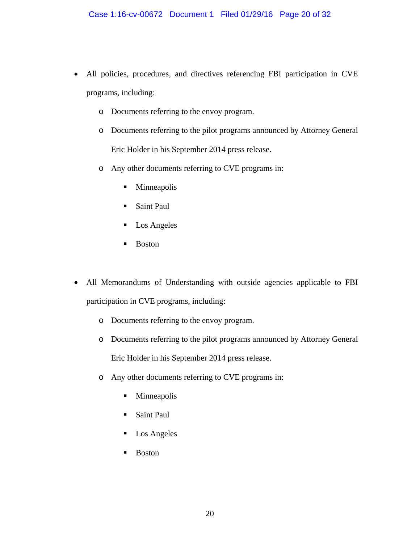- All policies, procedures, and directives referencing FBI participation in CVE programs, including:
	- o Documents referring to the envoy program.
	- o Documents referring to the pilot programs announced by Attorney General Eric Holder in his September 2014 press release.
	- o Any other documents referring to CVE programs in:
		- Minneapolis
		- **Saint Paul**
		- **Los Angeles**
		- **Boston**
- All Memorandums of Understanding with outside agencies applicable to FBI participation in CVE programs, including:
	- o Documents referring to the envoy program.
	- o Documents referring to the pilot programs announced by Attorney General Eric Holder in his September 2014 press release.
	- o Any other documents referring to CVE programs in:
		- **Minneapolis**
		- **Saint Paul**
		- **Los Angeles**
		- **Boston**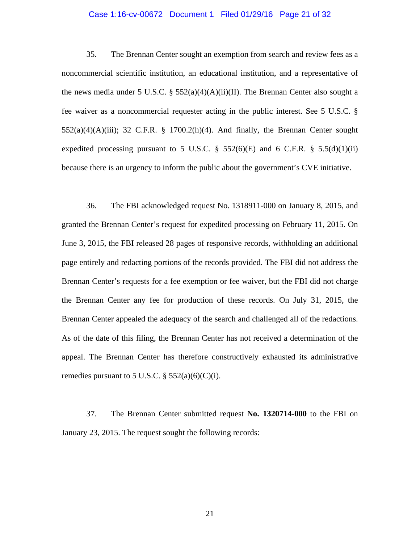#### Case 1:16-cv-00672 Document 1 Filed 01/29/16 Page 21 of 32

35. The Brennan Center sought an exemption from search and review fees as a noncommercial scientific institution, an educational institution, and a representative of the news media under 5 U.S.C. §  $552(a)(4)(A)(ii)(II)$ . The Brennan Center also sought a fee waiver as a noncommercial requester acting in the public interest. See 5 U.S.C. §  $552(a)(4)(A)(iii)$ ; 32 C.F.R. § 1700.2(h)(4). And finally, the Brennan Center sought expedited processing pursuant to 5 U.S.C.  $\S$  552(6)(E) and 6 C.F.R.  $\S$  5.5(d)(1)(ii) because there is an urgency to inform the public about the government's CVE initiative.

36. The FBI acknowledged request No. 1318911-000 on January 8, 2015, and granted the Brennan Center's request for expedited processing on February 11, 2015. On June 3, 2015, the FBI released 28 pages of responsive records, withholding an additional page entirely and redacting portions of the records provided. The FBI did not address the Brennan Center's requests for a fee exemption or fee waiver, but the FBI did not charge the Brennan Center any fee for production of these records. On July 31, 2015, the Brennan Center appealed the adequacy of the search and challenged all of the redactions. As of the date of this filing, the Brennan Center has not received a determination of the appeal. The Brennan Center has therefore constructively exhausted its administrative remedies pursuant to 5 U.S.C.  $\S$  552(a)(6)(C)(i).

37. The Brennan Center submitted request **No. 1320714-000** to the FBI on January 23, 2015. The request sought the following records: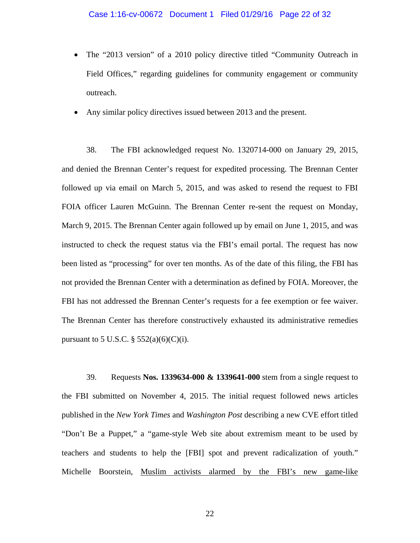- The "2013 version" of a 2010 policy directive titled "Community Outreach in Field Offices," regarding guidelines for community engagement or community outreach.
- Any similar policy directives issued between 2013 and the present.

38. The FBI acknowledged request No. 1320714-000 on January 29, 2015, and denied the Brennan Center's request for expedited processing. The Brennan Center followed up via email on March 5, 2015, and was asked to resend the request to FBI FOIA officer Lauren McGuinn. The Brennan Center re-sent the request on Monday, March 9, 2015. The Brennan Center again followed up by email on June 1, 2015, and was instructed to check the request status via the FBI's email portal. The request has now been listed as "processing" for over ten months. As of the date of this filing, the FBI has not provided the Brennan Center with a determination as defined by FOIA. Moreover, the FBI has not addressed the Brennan Center's requests for a fee exemption or fee waiver. The Brennan Center has therefore constructively exhausted its administrative remedies pursuant to 5 U.S.C.  $\S 552(a)(6)(C)(i)$ .

39. Requests **Nos. 1339634-000 & 1339641-000** stem from a single request to the FBI submitted on November 4, 2015. The initial request followed news articles published in the *New York Times* and *Washington Post* describing a new CVE effort titled "Don't Be a Puppet," a "game-style Web site about extremism meant to be used by teachers and students to help the [FBI] spot and prevent radicalization of youth." Michelle Boorstein, Muslim activists alarmed by the FBI's new game-like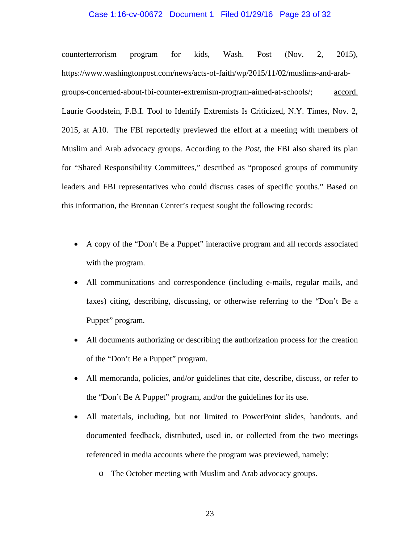#### Case 1:16-cv-00672 Document 1 Filed 01/29/16 Page 23 of 32

counterterrorism program for kids, Wash. Post (Nov. 2, 2015), https://www.washingtonpost.com/news/acts-of-faith/wp/2015/11/02/muslims-and-arabgroups-concerned-about-fbi-counter-extremism-program-aimed-at-schools/; accord. Laurie Goodstein, F.B.I. Tool to Identify Extremists Is Criticized, N.Y. Times, Nov. 2, 2015, at A10. The FBI reportedly previewed the effort at a meeting with members of Muslim and Arab advocacy groups. According to the *Post*, the FBI also shared its plan for "Shared Responsibility Committees," described as "proposed groups of community leaders and FBI representatives who could discuss cases of specific youths." Based on this information, the Brennan Center's request sought the following records:

- A copy of the "Don't Be a Puppet" interactive program and all records associated with the program.
- All communications and correspondence (including e-mails, regular mails, and faxes) citing, describing, discussing, or otherwise referring to the "Don't Be a Puppet" program.
- All documents authorizing or describing the authorization process for the creation of the "Don't Be a Puppet" program.
- All memoranda, policies, and/or guidelines that cite, describe, discuss, or refer to the "Don't Be A Puppet" program, and/or the guidelines for its use.
- All materials, including, but not limited to PowerPoint slides, handouts, and documented feedback, distributed, used in, or collected from the two meetings referenced in media accounts where the program was previewed, namely:
	- o The October meeting with Muslim and Arab advocacy groups.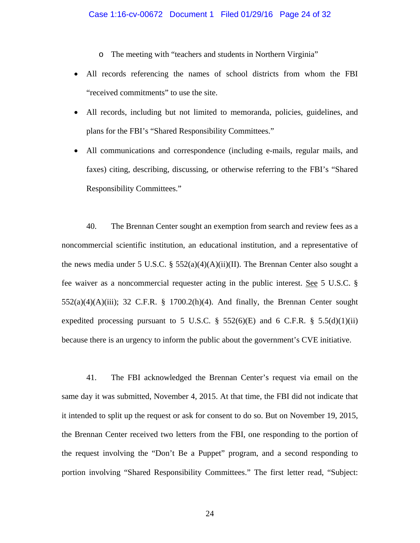o The meeting with "teachers and students in Northern Virginia"

- All records referencing the names of school districts from whom the FBI "received commitments" to use the site.
- All records, including but not limited to memoranda, policies, guidelines, and plans for the FBI's "Shared Responsibility Committees."
- All communications and correspondence (including e-mails, regular mails, and faxes) citing, describing, discussing, or otherwise referring to the FBI's "Shared Responsibility Committees."

40. The Brennan Center sought an exemption from search and review fees as a noncommercial scientific institution, an educational institution, and a representative of the news media under 5 U.S.C. §  $552(a)(4)(A)(ii)(II)$ . The Brennan Center also sought a fee waiver as a noncommercial requester acting in the public interest. See 5 U.S.C. §  $552(a)(4)(A)(iii)$ ; 32 C.F.R. § 1700.2(h)(4). And finally, the Brennan Center sought expedited processing pursuant to 5 U.S.C.  $\S$  552(6)(E) and 6 C.F.R.  $\S$  5.5(d)(1)(ii) because there is an urgency to inform the public about the government's CVE initiative.

41. The FBI acknowledged the Brennan Center's request via email on the same day it was submitted, November 4, 2015. At that time, the FBI did not indicate that it intended to split up the request or ask for consent to do so. But on November 19, 2015, the Brennan Center received two letters from the FBI, one responding to the portion of the request involving the "Don't Be a Puppet" program, and a second responding to portion involving "Shared Responsibility Committees." The first letter read, "Subject: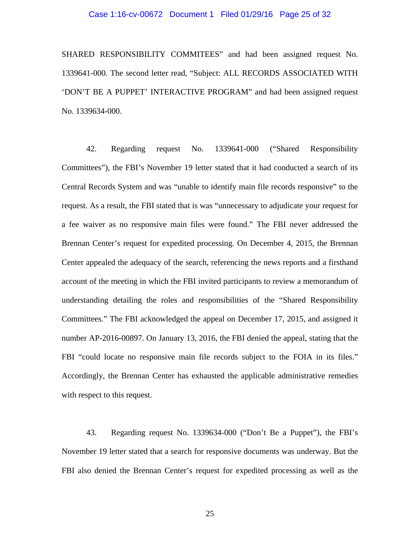#### Case 1:16-cv-00672 Document 1 Filed 01/29/16 Page 25 of 32

SHARED RESPONSIBILITY COMMITEES" and had been assigned request No. 1339641-000. The second letter read, "Subject: ALL RECORDS ASSOCIATED WITH 'DON'T BE A PUPPET' INTERACTIVE PROGRAM" and had been assigned request No. 1339634-000.

42. Regarding request No. 1339641-000 ("Shared Responsibility Committees"), the FBI's November 19 letter stated that it had conducted a search of its Central Records System and was "unable to identify main file records responsive" to the request. As a result, the FBI stated that is was "unnecessary to adjudicate your request for a fee waiver as no responsive main files were found." The FBI never addressed the Brennan Center's request for expedited processing. On December 4, 2015, the Brennan Center appealed the adequacy of the search, referencing the news reports and a firsthand account of the meeting in which the FBI invited participants to review a memorandum of understanding detailing the roles and responsibilities of the "Shared Responsibility Committees." The FBI acknowledged the appeal on December 17, 2015, and assigned it number AP-2016-00897. On January 13, 2016, the FBI denied the appeal, stating that the FBI "could locate no responsive main file records subject to the FOIA in its files." Accordingly, the Brennan Center has exhausted the applicable administrative remedies with respect to this request.

43. Regarding request No. 1339634-000 ("Don't Be a Puppet"), the FBI's November 19 letter stated that a search for responsive documents was underway. But the FBI also denied the Brennan Center's request for expedited processing as well as the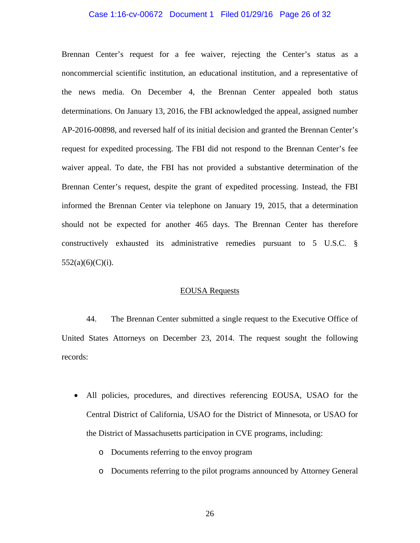#### Case 1:16-cv-00672 Document 1 Filed 01/29/16 Page 26 of 32

Brennan Center's request for a fee waiver, rejecting the Center's status as a noncommercial scientific institution, an educational institution, and a representative of the news media. On December 4, the Brennan Center appealed both status determinations. On January 13, 2016, the FBI acknowledged the appeal, assigned number AP-2016-00898, and reversed half of its initial decision and granted the Brennan Center's request for expedited processing. The FBI did not respond to the Brennan Center's fee waiver appeal. To date, the FBI has not provided a substantive determination of the Brennan Center's request, despite the grant of expedited processing. Instead, the FBI informed the Brennan Center via telephone on January 19, 2015, that a determination should not be expected for another 465 days. The Brennan Center has therefore constructively exhausted its administrative remedies pursuant to 5 U.S.C. §  $552(a)(6)(C)(i)$ .

#### EOUSA Requests

44. The Brennan Center submitted a single request to the Executive Office of United States Attorneys on December 23, 2014. The request sought the following records:

- All policies, procedures, and directives referencing EOUSA, USAO for the Central District of California, USAO for the District of Minnesota, or USAO for the District of Massachusetts participation in CVE programs, including:
	- o Documents referring to the envoy program
	- o Documents referring to the pilot programs announced by Attorney General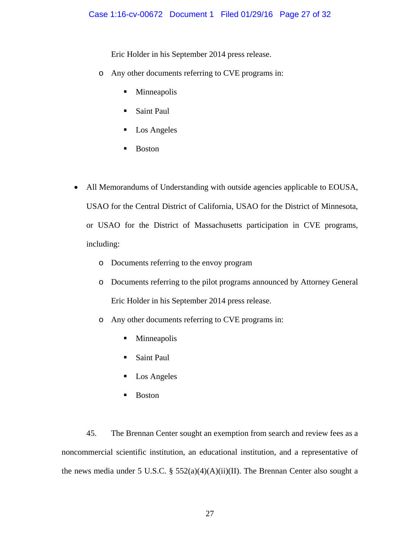Eric Holder in his September 2014 press release.

- o Any other documents referring to CVE programs in:
	- **Minneapolis**
	- Saint Paul
	- Los Angeles
	- **Boston**
- All Memorandums of Understanding with outside agencies applicable to EOUSA, USAO for the Central District of California, USAO for the District of Minnesota, or USAO for the District of Massachusetts participation in CVE programs, including:
	- o Documents referring to the envoy program
	- o Documents referring to the pilot programs announced by Attorney General Eric Holder in his September 2014 press release.
	- o Any other documents referring to CVE programs in:
		- Minneapolis
		- Saint Paul
		- **Los Angeles**
		- **Boston**

45. The Brennan Center sought an exemption from search and review fees as a noncommercial scientific institution, an educational institution, and a representative of the news media under 5 U.S.C. §  $552(a)(4)(A)(ii)(II)$ . The Brennan Center also sought a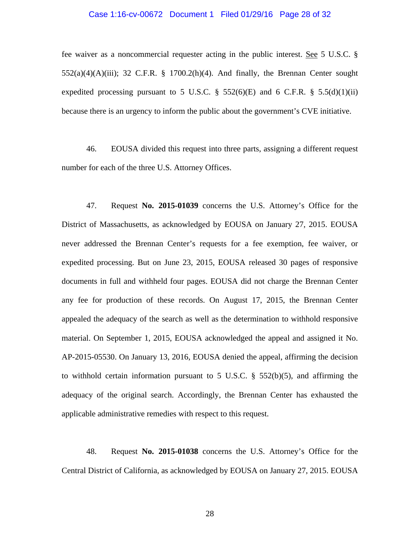#### Case 1:16-cv-00672 Document 1 Filed 01/29/16 Page 28 of 32

fee waiver as a noncommercial requester acting in the public interest. See 5 U.S.C. §  $552(a)(4)(A)(iii)$ ; 32 C.F.R. § 1700.2(h)(4). And finally, the Brennan Center sought expedited processing pursuant to 5 U.S.C.  $\S$  552(6)(E) and 6 C.F.R.  $\S$  5.5(d)(1)(ii) because there is an urgency to inform the public about the government's CVE initiative.

46. EOUSA divided this request into three parts, assigning a different request number for each of the three U.S. Attorney Offices.

47. Request **No. 2015-01039** concerns the U.S. Attorney's Office for the District of Massachusetts, as acknowledged by EOUSA on January 27, 2015. EOUSA never addressed the Brennan Center's requests for a fee exemption, fee waiver, or expedited processing. But on June 23, 2015, EOUSA released 30 pages of responsive documents in full and withheld four pages. EOUSA did not charge the Brennan Center any fee for production of these records. On August 17, 2015, the Brennan Center appealed the adequacy of the search as well as the determination to withhold responsive material. On September 1, 2015, EOUSA acknowledged the appeal and assigned it No. AP-2015-05530. On January 13, 2016, EOUSA denied the appeal, affirming the decision to withhold certain information pursuant to 5 U.S.C.  $\S$  552(b)(5), and affirming the adequacy of the original search. Accordingly, the Brennan Center has exhausted the applicable administrative remedies with respect to this request.

48. Request **No. 2015-01038** concerns the U.S. Attorney's Office for the Central District of California, as acknowledged by EOUSA on January 27, 2015. EOUSA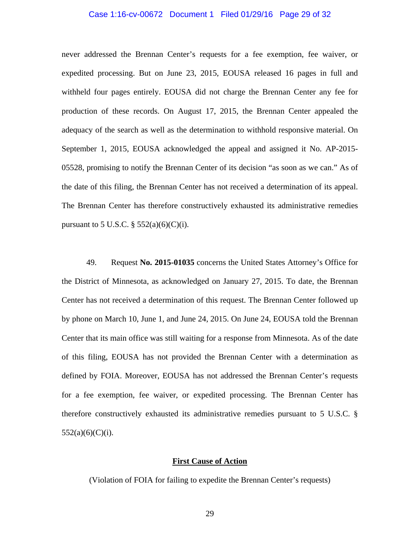#### Case 1:16-cv-00672 Document 1 Filed 01/29/16 Page 29 of 32

never addressed the Brennan Center's requests for a fee exemption, fee waiver, or expedited processing. But on June 23, 2015, EOUSA released 16 pages in full and withheld four pages entirely. EOUSA did not charge the Brennan Center any fee for production of these records. On August 17, 2015, the Brennan Center appealed the adequacy of the search as well as the determination to withhold responsive material. On September 1, 2015, EOUSA acknowledged the appeal and assigned it No. AP-2015- 05528, promising to notify the Brennan Center of its decision "as soon as we can." As of the date of this filing, the Brennan Center has not received a determination of its appeal. The Brennan Center has therefore constructively exhausted its administrative remedies pursuant to 5 U.S.C.  $\S 552(a)(6)(C)(i)$ .

49. Request **No. 2015-01035** concerns the United States Attorney's Office for the District of Minnesota, as acknowledged on January 27, 2015. To date, the Brennan Center has not received a determination of this request. The Brennan Center followed up by phone on March 10, June 1, and June 24, 2015. On June 24, EOUSA told the Brennan Center that its main office was still waiting for a response from Minnesota. As of the date of this filing, EOUSA has not provided the Brennan Center with a determination as defined by FOIA. Moreover, EOUSA has not addressed the Brennan Center's requests for a fee exemption, fee waiver, or expedited processing. The Brennan Center has therefore constructively exhausted its administrative remedies pursuant to 5 U.S.C. §  $552(a)(6)(C)(i)$ .

# **First Cause of Action**

(Violation of FOIA for failing to expedite the Brennan Center's requests)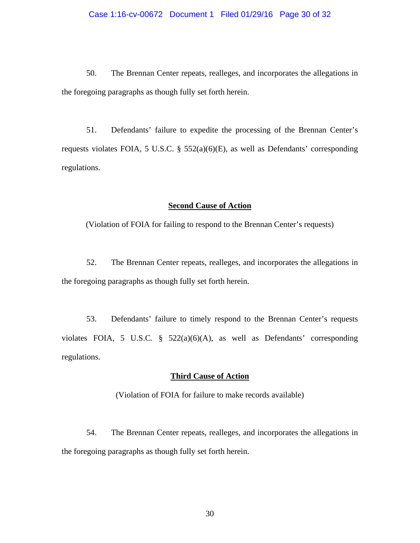50. The Brennan Center repeats, realleges, and incorporates the allegations in the foregoing paragraphs as though fully set forth herein.

 51. Defendants' failure to expedite the processing of the Brennan Center's requests violates FOIA, 5 U.S.C. § 552(a)(6)(E), as well as Defendants' corresponding regulations.

# **Second Cause of Action**

(Violation of FOIA for failing to respond to the Brennan Center's requests)

52. The Brennan Center repeats, realleges, and incorporates the allegations in the foregoing paragraphs as though fully set forth herein.

53. Defendants' failure to timely respond to the Brennan Center's requests violates FOIA, 5 U.S.C. § 522(a)(6)(A), as well as Defendants' corresponding regulations.

# **Third Cause of Action**

(Violation of FOIA for failure to make records available)

 54. The Brennan Center repeats, realleges, and incorporates the allegations in the foregoing paragraphs as though fully set forth herein.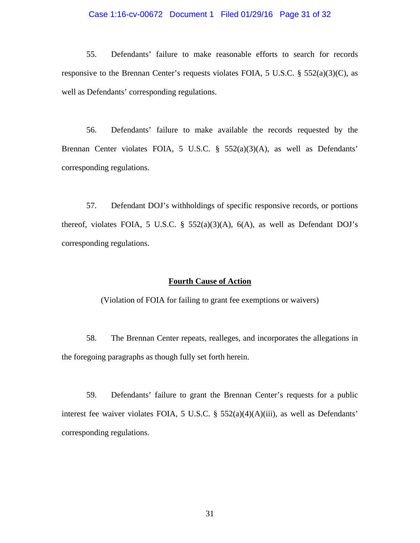#### Case 1:16-cv-00672 Document 1 Filed 01/29/16 Page 31 of 32

 55. Defendants' failure to make reasonable efforts to search for records responsive to the Brennan Center's requests violates FOIA, 5 U.S.C.  $\S$  552(a)(3)(C), as well as Defendants' corresponding regulations.

56. Defendants' failure to make available the records requested by the Brennan Center violates FOIA, 5 U.S.C. § 552(a)(3)(A), as well as Defendants' corresponding regulations.

57. Defendant DOJ's withholdings of specific responsive records, or portions thereof, violates FOIA, 5 U.S.C. §  $552(a)(3)(A)$ ,  $6(A)$ , as well as Defendant DOJ's corresponding regulations.

### **Fourth Cause of Action**

(Violation of FOIA for failing to grant fee exemptions or waivers)

58. The Brennan Center repeats, realleges, and incorporates the allegations in the foregoing paragraphs as though fully set forth herein.

59. Defendants' failure to grant the Brennan Center's requests for a public interest fee waiver violates FOIA, 5 U.S.C. § 552(a)(4)(A)(iii), as well as Defendants' corresponding regulations.